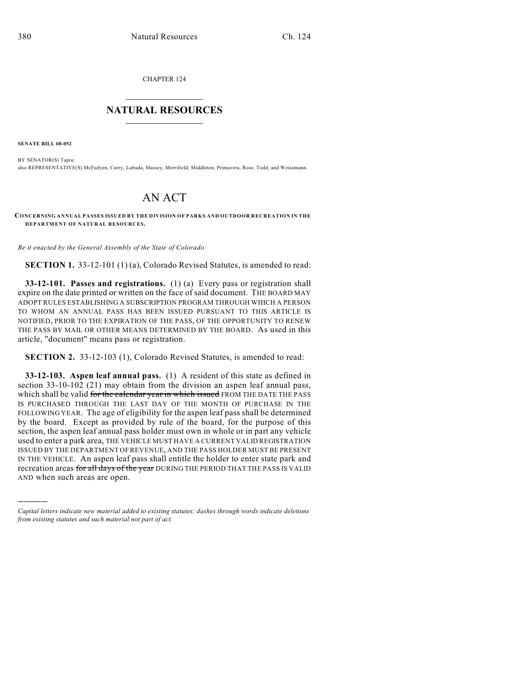CHAPTER 124  $\overline{\phantom{a}}$  . The set of the set of the set of the set of the set of the set of the set of the set of the set of the set of the set of the set of the set of the set of the set of the set of the set of the set of the set o

## **NATURAL RESOURCES**  $\frac{1}{\sqrt{2}}$  , where  $\frac{1}{\sqrt{2}}$  ,  $\frac{1}{\sqrt{2}}$  ,  $\frac{1}{\sqrt{2}}$

**SENATE BILL 08-052**

)))))

BY SENATOR(S) Tapia; also REPRESENTATIVE(S) McFadyen, Curry, Labuda, Massey, Merrifield, Middleton, Primavera, Rose, Todd, and Weissmann.

## AN ACT

**CONCERNING ANNUAL PASSES ISSUED BY THE DIVISION OF PARKS AND OUTDOOR RECREATION IN THE DEPARTMENT OF NATURAL RESOURCES.**

*Be it enacted by the General Assembly of the State of Colorado:*

**SECTION 1.** 33-12-101 (1) (a), Colorado Revised Statutes, is amended to read:

**33-12-101. Passes and registrations.** (1) (a) Every pass or registration shall expire on the date printed or written on the face of said document. THE BOARD MAY ADOPT RULES ESTABLISHING A SUBSCRIPTION PROGRAM THROUGH WHICH A PERSON TO WHOM AN ANNUAL PASS HAS BEEN ISSUED PURSUANT TO THIS ARTICLE IS NOTIFIED, PRIOR TO THE EXPIRATION OF THE PASS, OF THE OPPORTUNITY TO RENEW THE PASS BY MAIL OR OTHER MEANS DETERMINED BY THE BOARD. As used in this article, "document" means pass or registration.

**SECTION 2.** 33-12-103 (1), Colorado Revised Statutes, is amended to read:

**33-12-103. Aspen leaf annual pass.** (1) A resident of this state as defined in section 33-10-102 (21) may obtain from the division an aspen leaf annual pass, which shall be valid for the calendar year in which issued FROM THE DATE THE PASS IS PURCHASED THROUGH THE LAST DAY OF THE MONTH OF PURCHASE IN THE FOLLOWING YEAR. The age of eligibility for the aspen leaf pass shall be determined by the board. Except as provided by rule of the board, for the purpose of this section, the aspen leaf annual pass holder must own in whole or in part any vehicle used to enter a park area, THE VEHICLE MUST HAVE A CURRENT VALID REGISTRATION ISSUED BY THE DEPARTMENT OF REVENUE, AND THE PASS HOLDER MUST BE PRESENT IN THE VEHICLE. An aspen leaf pass shall entitle the holder to enter state park and recreation areas for all days of the year DURING THE PERIOD THAT THE PASS IS VALID AND when such areas are open.

*Capital letters indicate new material added to existing statutes; dashes through words indicate deletions from existing statutes and such material not part of act.*